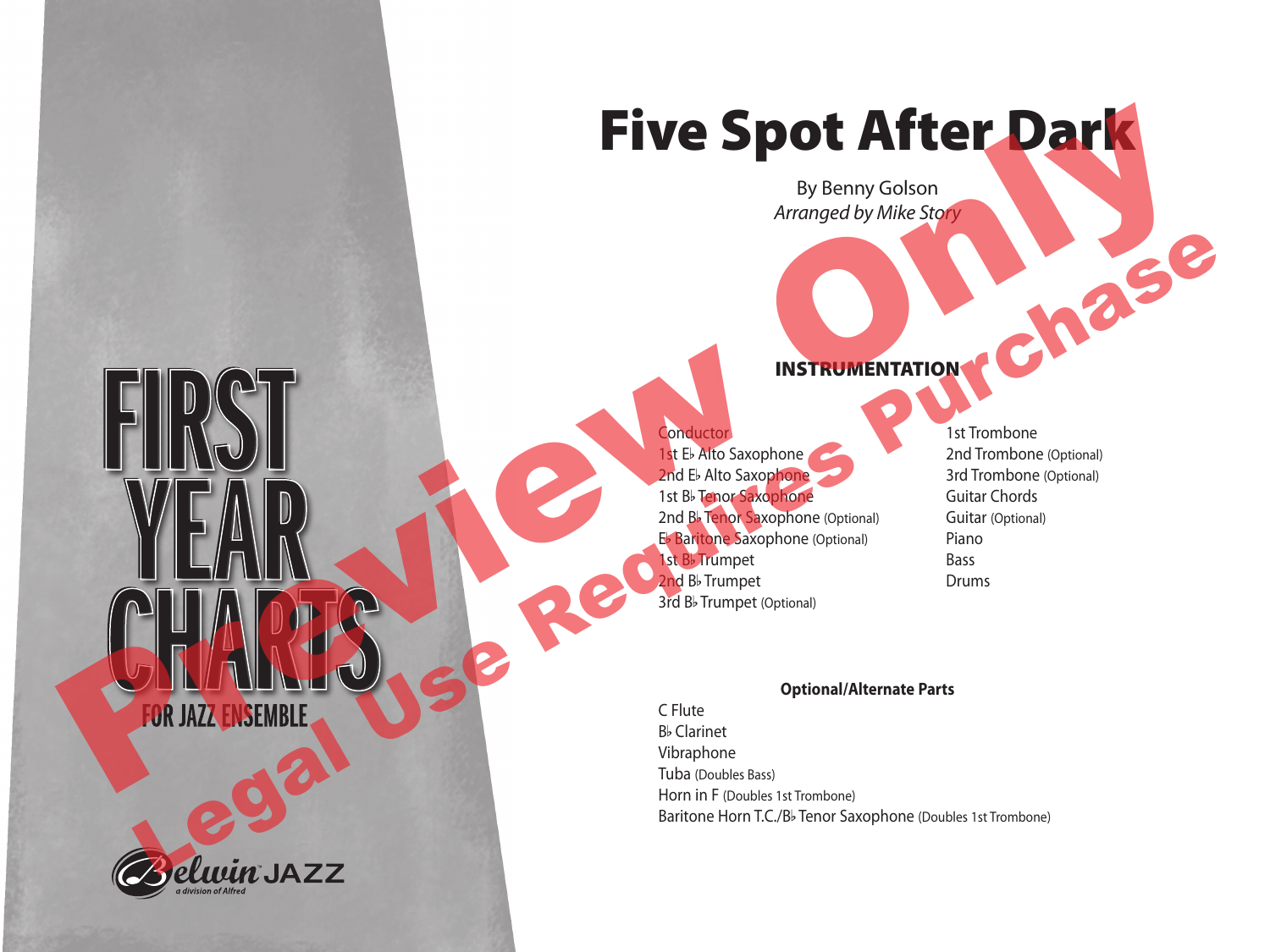# Five Spot After Dark

By Benny Golson *Arranged by Mike Story*

# Five Spot After Dark MEAR STROMBER PUBLICATION CASES



## INSTRUMENTATION

**Conductor** 1st Eb Alto Saxophone 2nd Eb Alto Saxophone 1st B<sub>b</sub> Tenor Saxophone 2nd Bb Tenor Saxophone (Optional) Eb Baritone Saxophone (Optional) 1st Bb Trumpet 2nd Bb Trumpet 3rd Bb Trumpet (Optional)

1st Trombone 2nd Trombone (Optional) 3rd Trombone (Optional) Guitar Chords Guitar (Optional) Piano Bass Drums

### **Optional/Alternate Parts**

C Flute Bb Clarinet Vibraphone Tuba (Doubles Bass) Horn in F (Doubles 1st Trombone) Baritone Horn T.C./Bb Tenor Saxophone (Doubles 1st Trombone)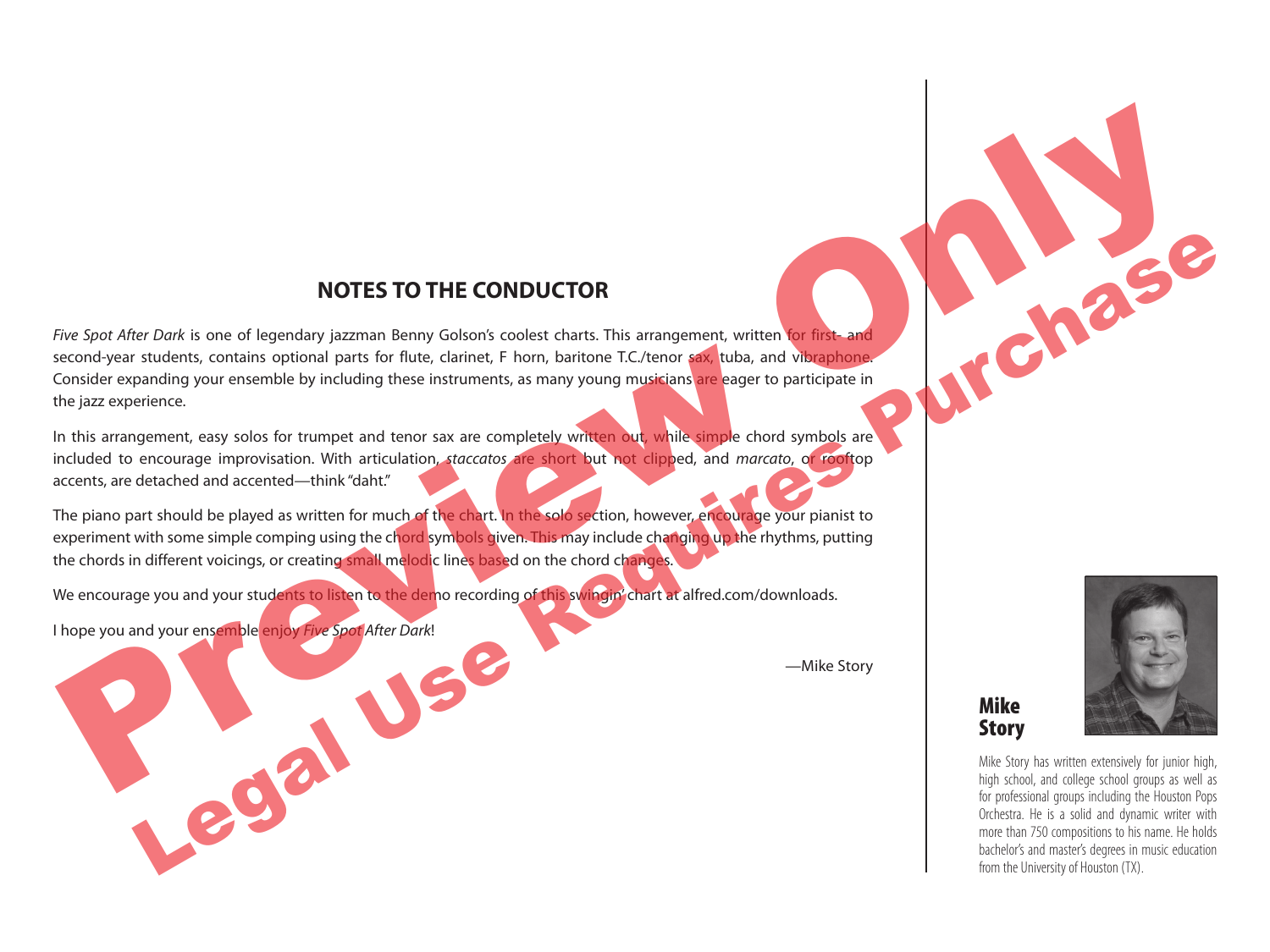### **NOTES TO THE CONDUCTOR**

*Five Spot After Dark* is one of legendary jazzman Benny Golson's coolest charts. This arrangement, written for first- and second-year students, contains optional parts for flute, clarinet, F horn, baritone T.C./tenor sax, tuba, and vibraphone. Consider expanding your ensemble by including these instruments, as many young musicians are eager to participate in the jazz experience. NOTES TO THE CONDUCTOR<br>
NOTES TO THE CONDUCTOR<br>
NOTES TO THE CONDUCTOR<br>
NORTHER CONDENSE TO THE CONDUCTOR<br>
CONDENSE TO THE CONDENSE TO THE CONDUCTOR<br>
CONDENSE TO THE CONDENSE TO THE CONDENSE TO THE CONDENSE TO THE CONDENSE NOTES TO THE CONDUCTOR<br>
NOTES TO THE CONDUCTOR<br>
Studies, contains a proposed a bottom in the armogeneus, with the armogeneus, with the studies<br>
procedure and the studies of this contains the studies are completely without

In this arrangement, easy solos for trumpet and tenor sax are completely written out, while simple chord symbols are included to encourage improvisation. With articulation, *staccatos* are short but not clipped, and *marcato*, or rooftop accents, are detached and accented—think "daht."

The piano part should be played as written for much of the chart. In the solo section, however, encourage your pianist to experiment with some simple comping using the chord symbols given. This may include changing up the rhythms, putting the chords in different voicings, or creating small melodic lines based on the chord changes.

We encourage you and your students to listen to the demo recording of this swingin' chart at alfred.com/downloads.

I hope you and your ensemble enjoy *Five Spot After Dark*!

—Mike Story



Mike Story has written extensively for junior high, high school, and college school groups as well as for professional groups including the Houston Pops Orchestra. He is a solid and dynamic writer with more than 750 compositions to his name. He holds bachelor's and master's degrees in music education

Mike Story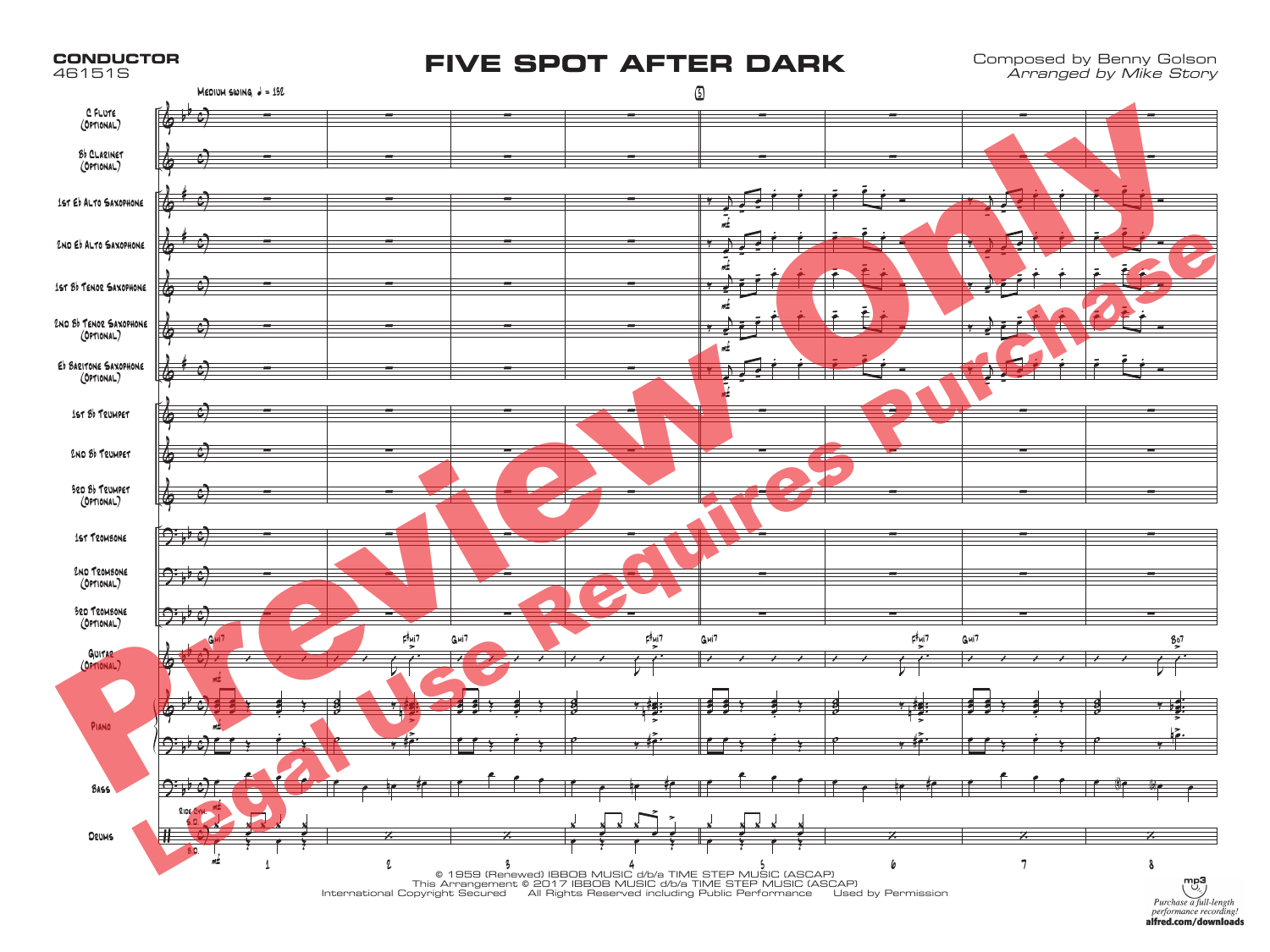**CONDUCTOR**

46151S

**FIVE SPOT AFTER DARK**

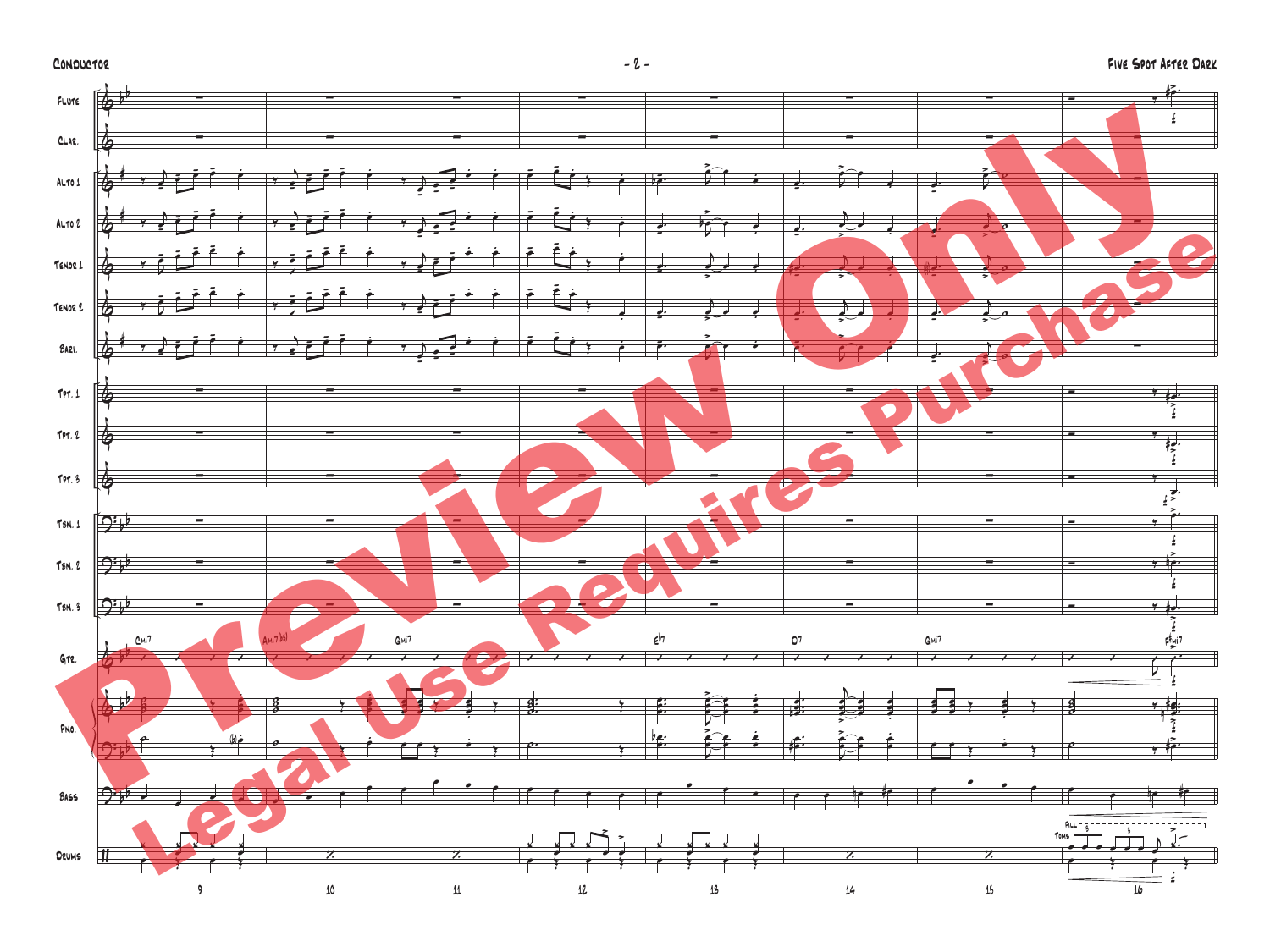

FIVE SPOT AFTER DARK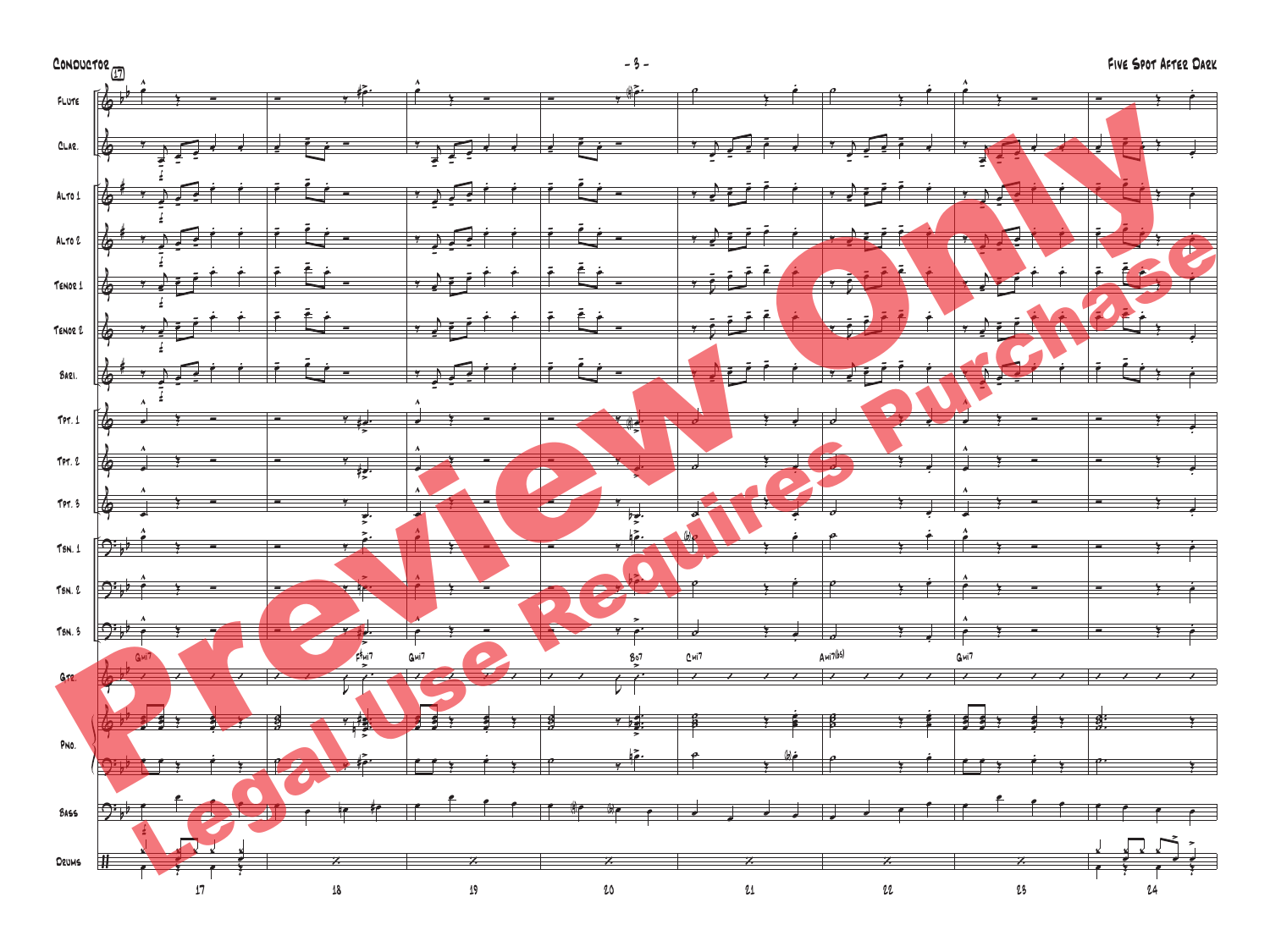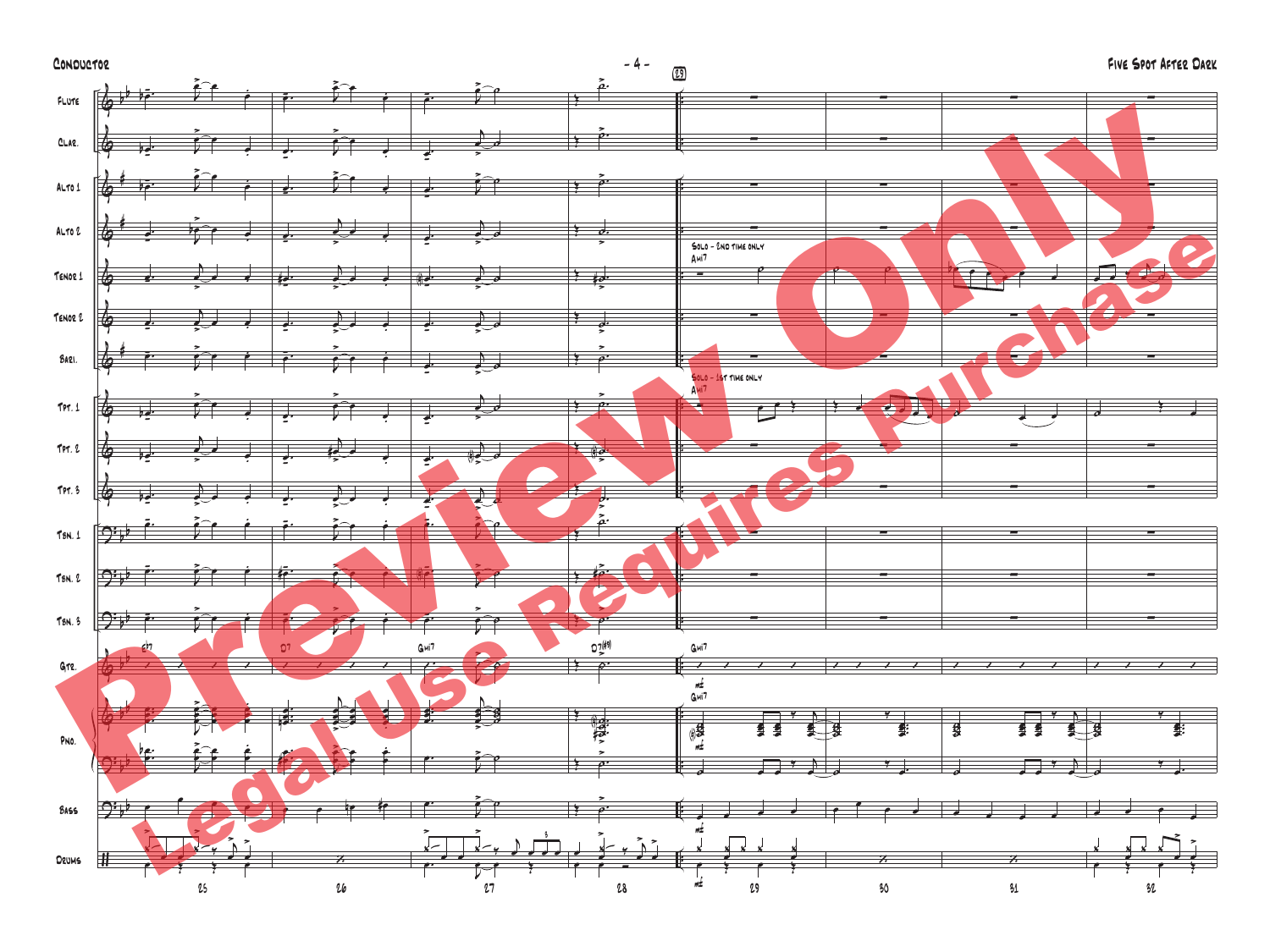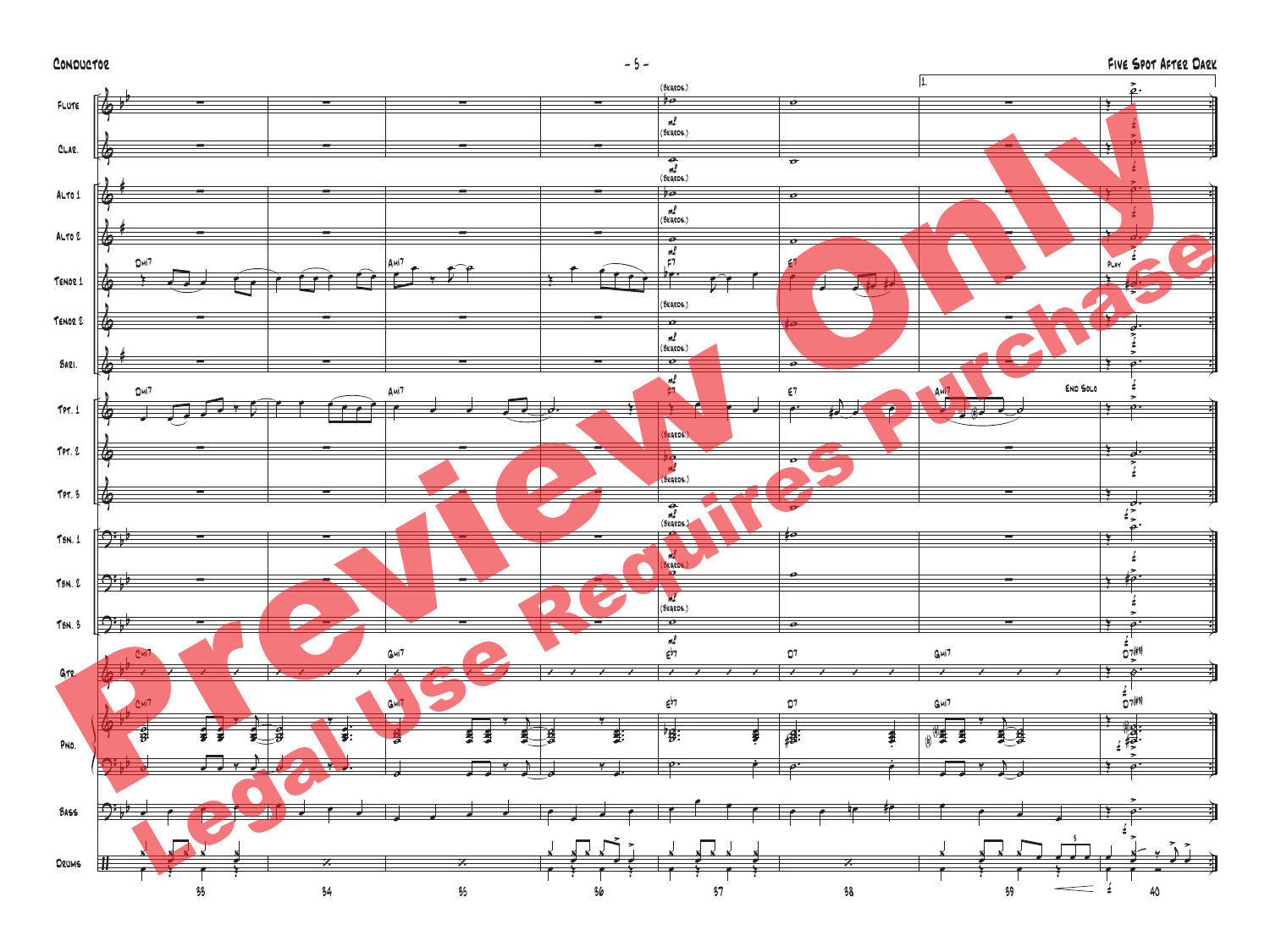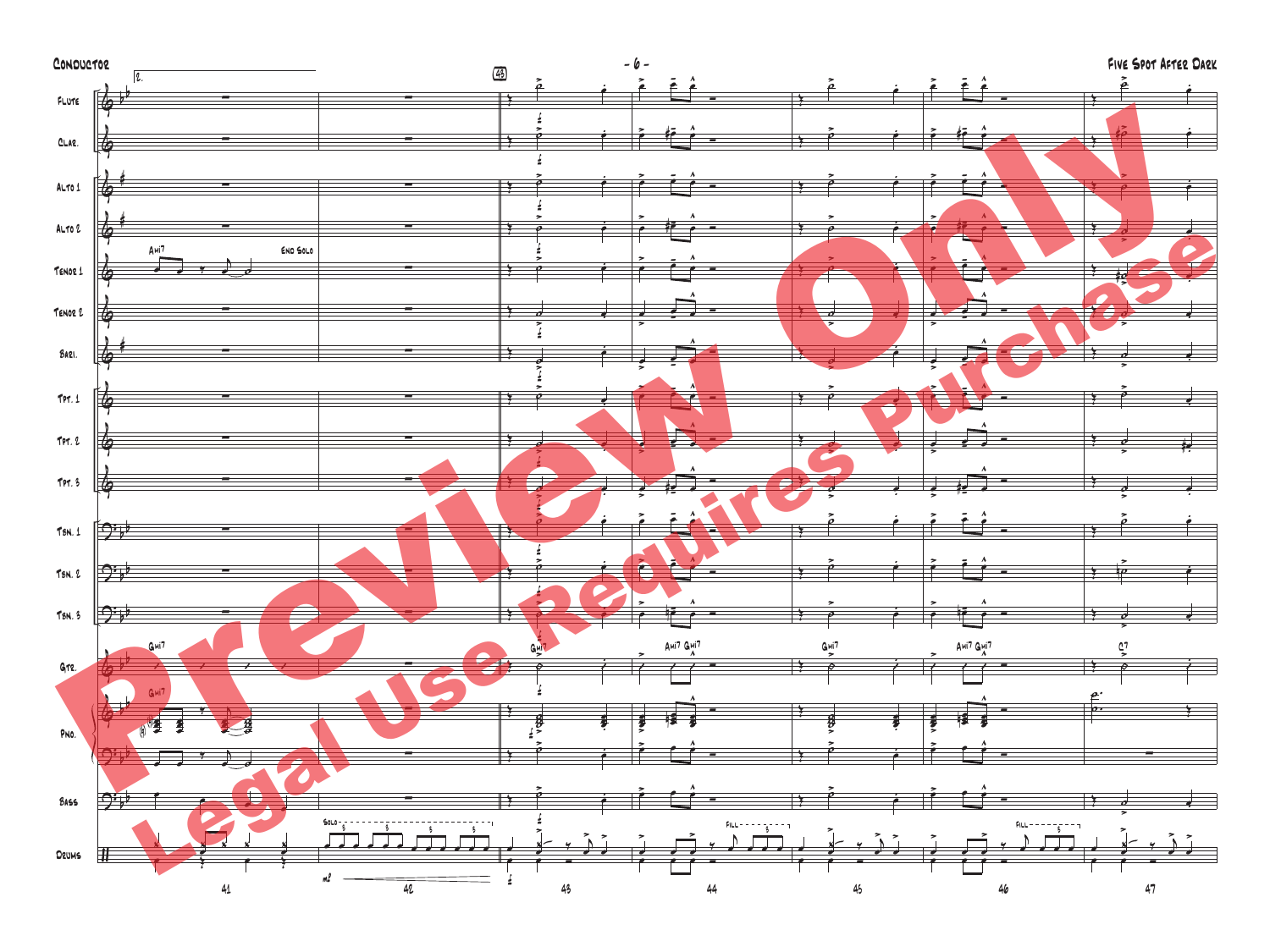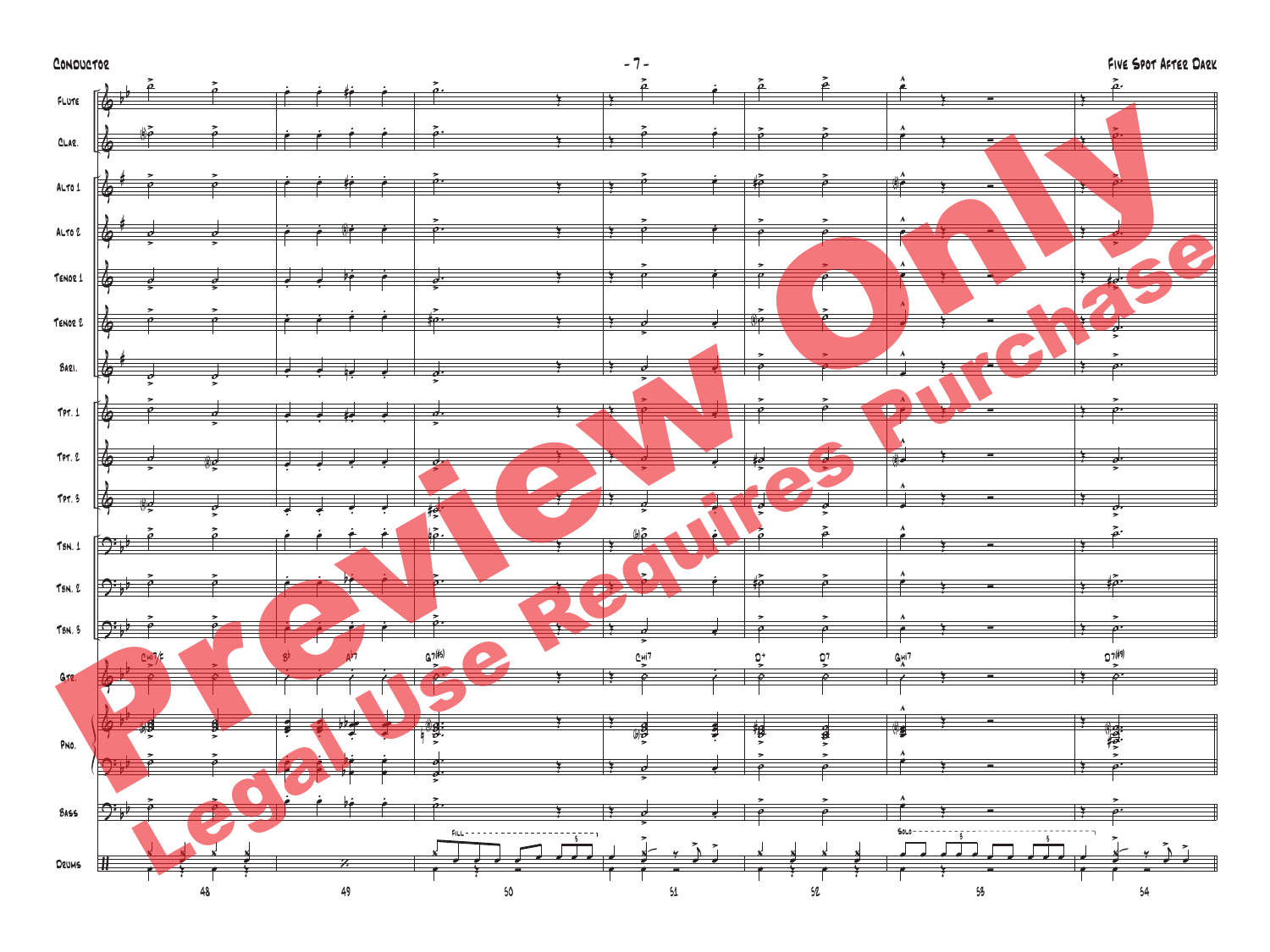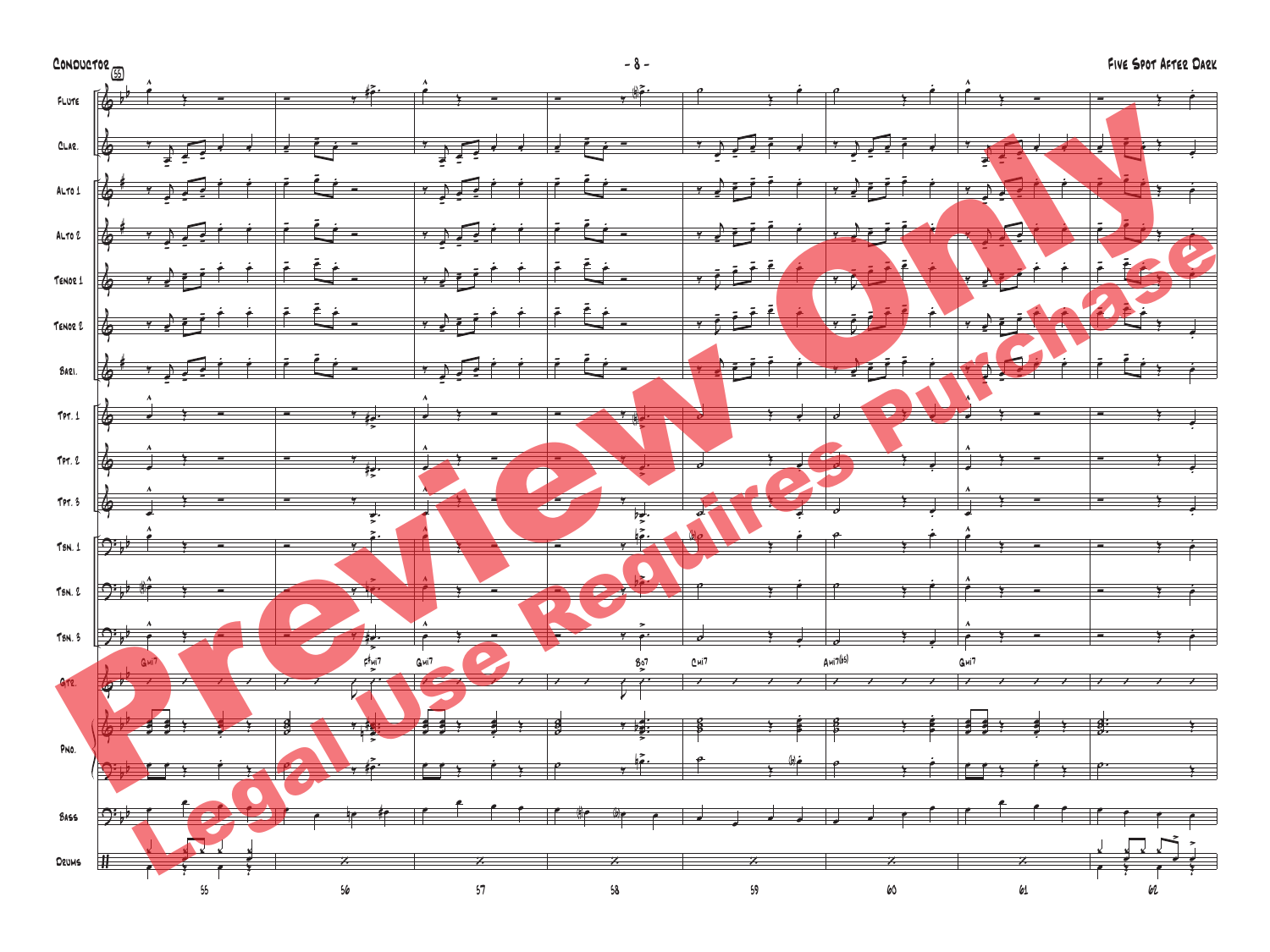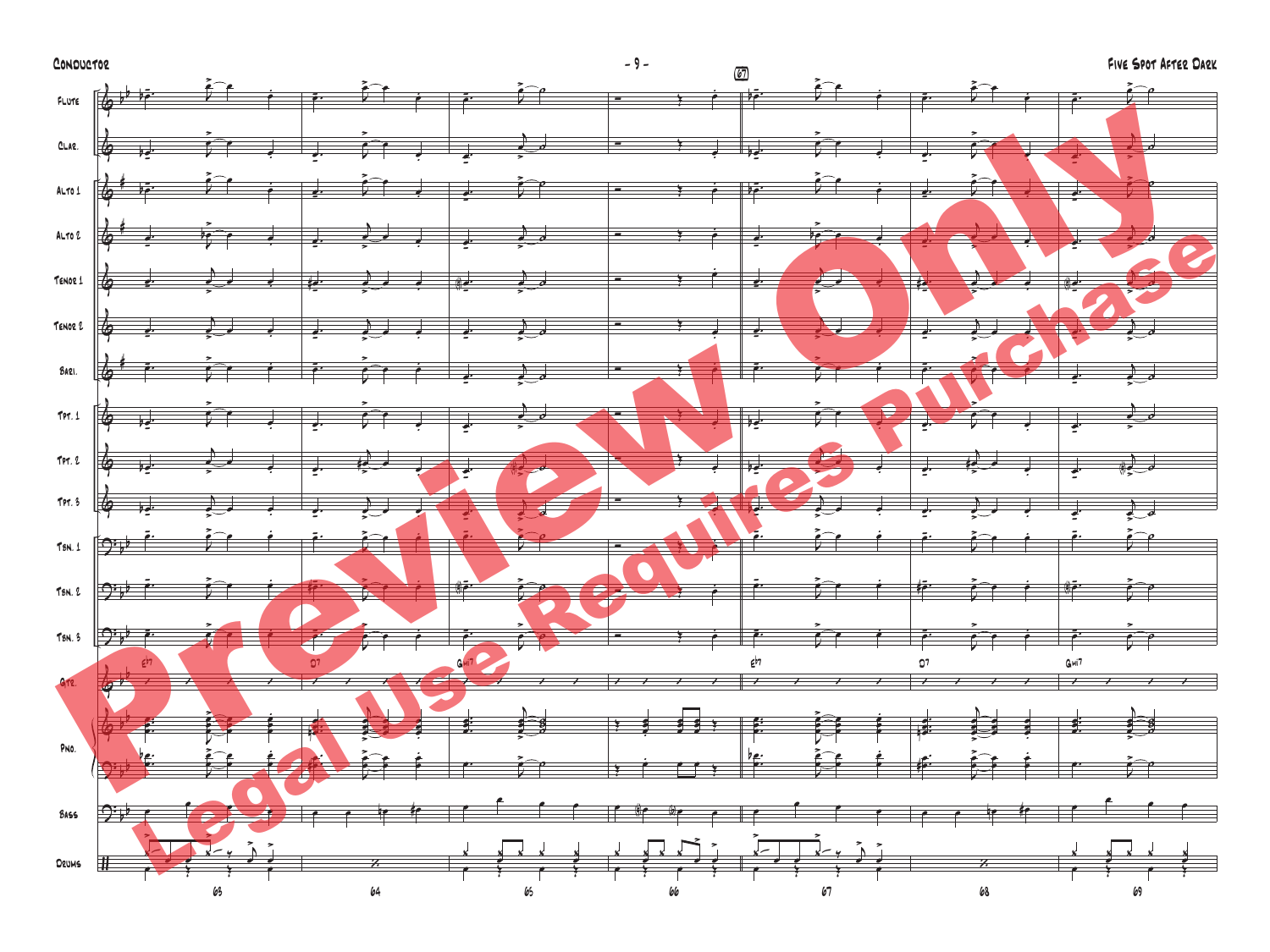